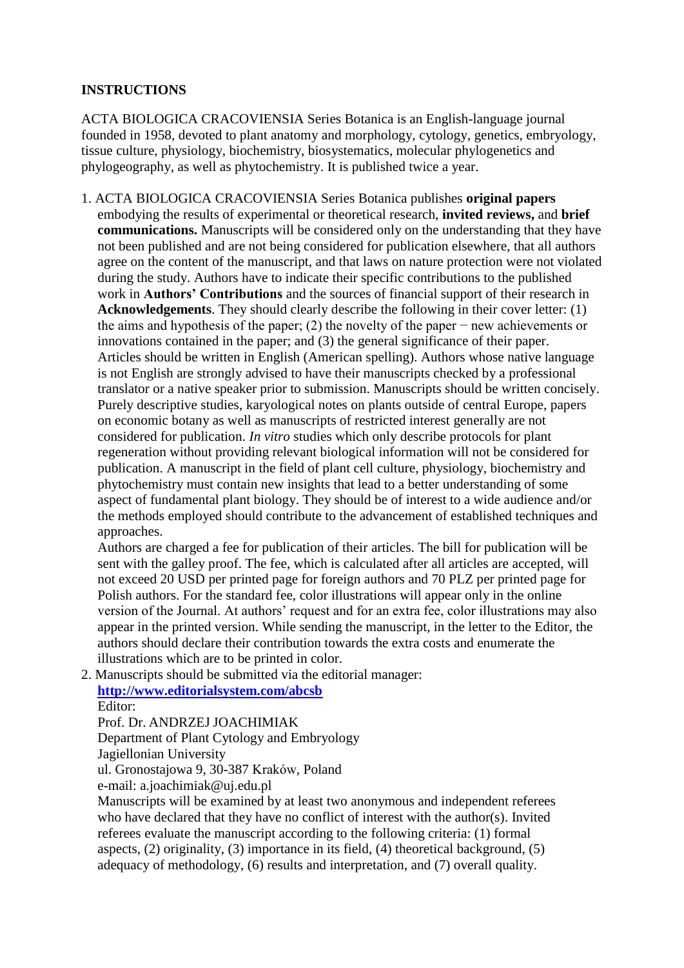## **INSTRUCTIONS**

ACTA BIOLOGICA CRACOVIENSIA Series Botanica is an English-language journal founded in 1958, devoted to plant anatomy and morphology, cytology, genetics, embryology, tissue culture, physiology, biochemistry, biosystematics, molecular phylogenetics and phylogeography, as well as phytochemistry. It is published twice a year.

1. ACTA BIOLOGICA CRACOVIENSIA Series Botanica publishes **original papers** embodying the results of experimental or theoretical research, **invited reviews,** and **brief communications.** Manuscripts will be considered only on the understanding that they have not been published and are not being considered for publication elsewhere, that all authors agree on the content of the manuscript, and that laws on nature protection were not violated during the study. Authors have to indicate their specific contributions to the published work in **Authors' Contributions** and the sources of financial support of their research in **Acknowledgements**. They should clearly describe the following in their cover letter: (1) the aims and hypothesis of the paper; (2) the novelty of the paper − new achievements or innovations contained in the paper; and (3) the general significance of their paper. Articles should be written in English (American spelling). Authors whose native language is not English are strongly advised to have their manuscripts checked by a professional translator or a native speaker prior to submission. Manuscripts should be written concisely. Purely descriptive studies, karyological notes on plants outside of central Europe, papers on economic botany as well as manuscripts of restricted interest generally are not considered for publication. *In vitro* studies which only describe protocols for plant regeneration without providing relevant biological information will not be considered for publication. A manuscript in the field of plant cell culture, physiology, biochemistry and phytochemistry must contain new insights that lead to a better understanding of some aspect of fundamental plant biology. They should be of interest to a wide audience and/or the methods employed should contribute to the advancement of established techniques and approaches.

Authors are charged a fee for publication of their articles. The bill for publication will be sent with the galley proof. The fee, which is calculated after all articles are accepted, will not exceed 20 USD per printed page for foreign authors and 70 PLZ per printed page for Polish authors. For the standard fee, color illustrations will appear only in the online version of the Journal. At authors' request and for an extra fee, color illustrations may also appear in the printed version. While sending the manuscript, in the letter to the Editor, the authors should declare their contribution towards the extra costs and enumerate the illustrations which are to be printed in color.

2. Manuscripts should be submitted via the editorial manager: **<http://www.editorialsystem.com/abcsb>** Editor:

Prof. Dr. ANDRZEJ JOACHIMIAK Department of Plant Cytology and Embryology

Jagiellonian University

ul. Gronostajowa 9, 30-387 Kraków, Poland

e-mail: a.joachimiak@uj.edu.pl

Manuscripts will be examined by at least two anonymous and independent referees who have declared that they have no conflict of interest with the author(s). Invited referees evaluate the manuscript according to the following criteria: (1) formal aspects, (2) originality, (3) importance in its field, (4) theoretical background, (5) adequacy of methodology, (6) results and interpretation, and (7) overall quality.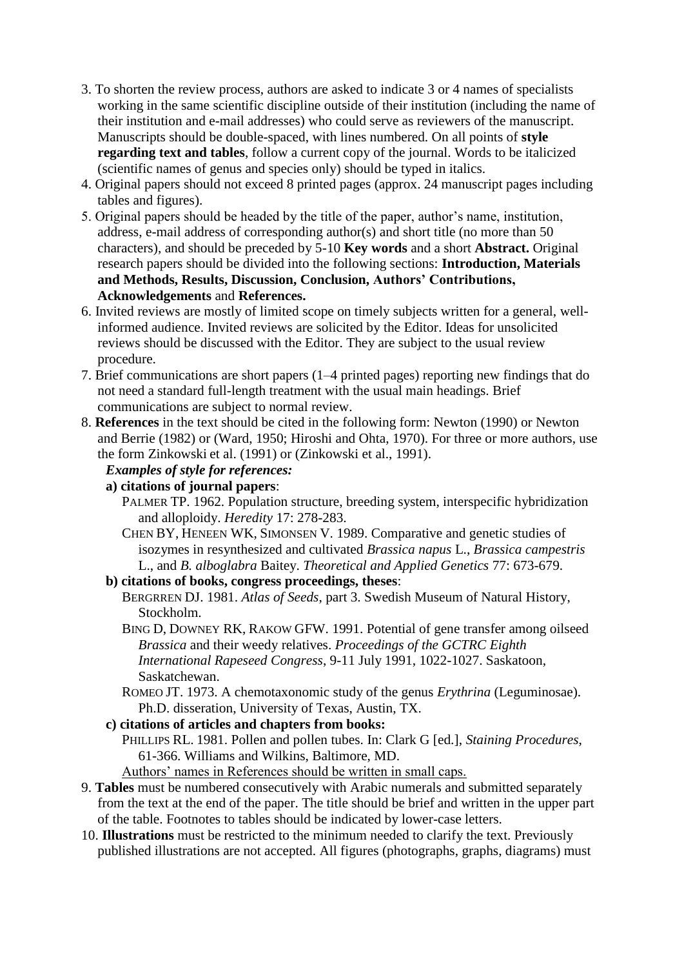- 3. To shorten the review process, authors are asked to indicate 3 or 4 names of specialists working in the same scientific discipline outside of their institution (including the name of their institution and e-mail addresses) who could serve as reviewers of the manuscript. Manuscripts should be double-spaced, with lines numbered. On all points of **style regarding text and tables**, follow a current copy of the journal. Words to be italicized (scientific names of genus and species only) should be typed in italics.
- 4. Original papers should not exceed 8 printed pages (approx. 24 manuscript pages including tables and figures).
- 5. Original papers should be headed by the title of the paper, author's name, institution, address, e-mail address of corresponding author(s) and short title (no more than 50 characters), and should be preceded by 5-10 **Key words** and a short **Abstract.** Original research papers should be divided into the following sections: **Introduction, Materials and Methods, Results, Discussion, Conclusion, Authors' Contributions, Acknowledgements** and **References.**
- 6. Invited reviews are mostly of limited scope on timely subjects written for a general, wellinformed audience. Invited reviews are solicited by the Editor. Ideas for unsolicited reviews should be discussed with the Editor. They are subject to the usual review procedure.
- 7. Brief communications are short papers (1–4 printed pages) reporting new findings that do not need a standard full-length treatment with the usual main headings. Brief communications are subject to normal review.
- 8. **References** in the text should be cited in the following form: Newton (1990) or Newton and Berrie (1982) or (Ward, 1950; Hiroshi and Ohta, 1970). For three or more authors, use the form Zinkowski et al. (1991) or (Zinkowski et al., 1991).

## *Examples of style for references:*

**a) citations of journal papers**:

- PALMER TP. 1962. Population structure, breeding system, interspecific hybridization and alloploidy. *Heredity* 17: 278-283.
- CHEN BY, HENEEN WK, SIMONSEN V. 1989. Comparative and genetic studies of isozymes in resynthesized and cultivated *Brassica napus* L., *Brassica campestris* L., and *B. alboglabra* Baitey. *Theoretical and Applied Genetics* 77: 673-679.
- **b) citations of books, congress proceedings, theses**:
	- BERGRREN DJ. 1981. *Atlas of Seeds*, part 3. Swedish Museum of Natural History, Stockholm.
	- BING D, DOWNEY RK, RAKOW GFW. 1991. Potential of gene transfer among oilseed *Brassica* and their weedy relatives. *Proceedings of the GCTRC Eighth International Rapeseed Congress*, 9-11 July 1991, 1022-1027. Saskatoon, Saskatchewan.
	- ROMEO JT. 1973. A chemotaxonomic study of the genus *Erythrina* (Leguminosae). Ph.D. disseration, University of Texas, Austin, TX.
- **c) citations of articles and chapters from books:**
	- PHILLIPS RL. 1981. Pollen and pollen tubes. In: Clark G [ed.], *Staining Procedures*, 61-366. Williams and Wilkins, Baltimore, MD.
	- Authors' names in References should be written in small caps.
- 9. **Tables** must be numbered consecutively with Arabic numerals and submitted separately from the text at the end of the paper. The title should be brief and written in the upper part of the table. Footnotes to tables should be indicated by lower-case letters.
- 10. **Illustrations** must be restricted to the minimum needed to clarify the text. Previously published illustrations are not accepted. All figures (photographs, graphs, diagrams) must